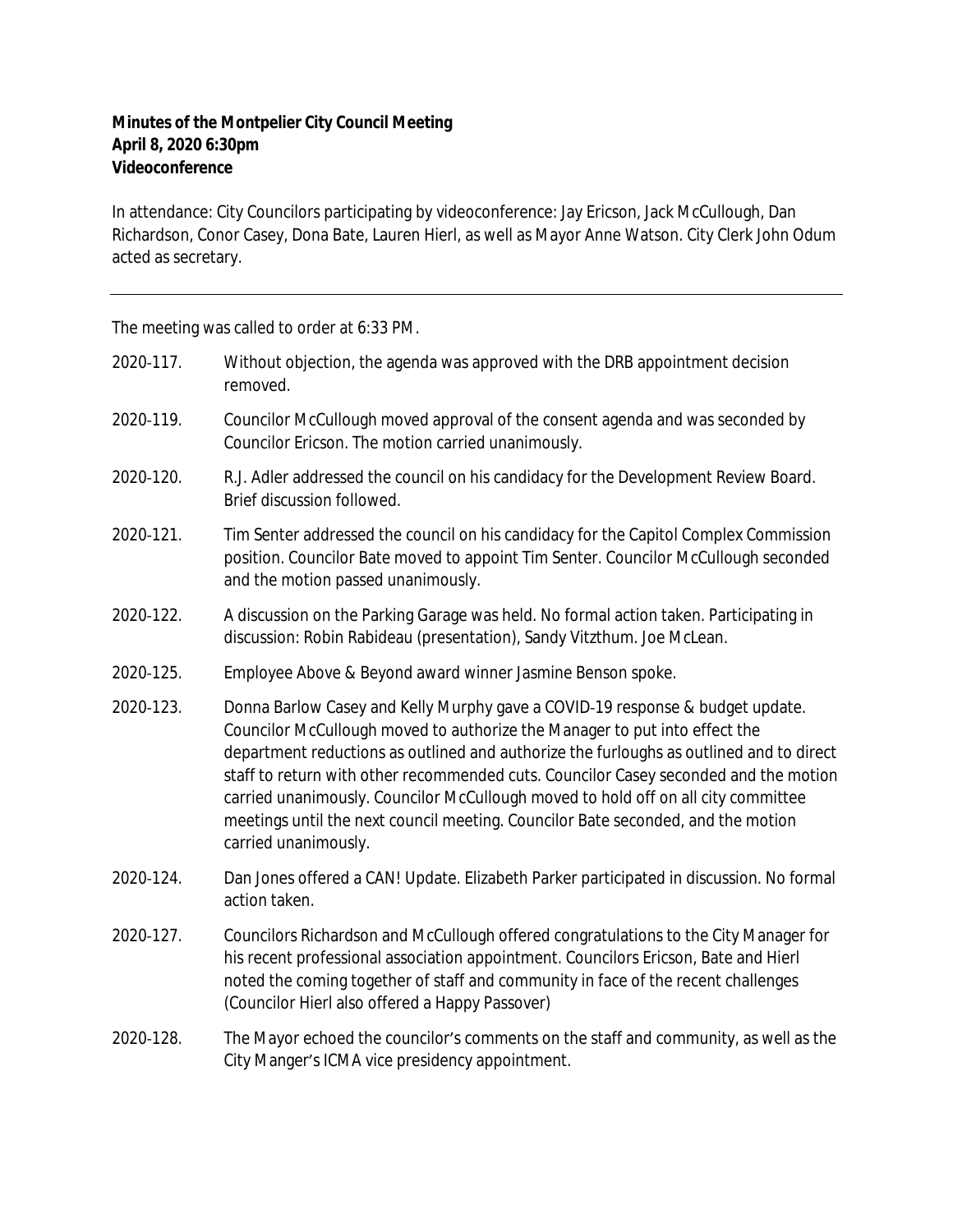## **Minutes of the Montpelier City Council Meeting April 8, 2020 6:30pm Videoconference**

In attendance: City Councilors participating by videoconference: Jay Ericson, Jack McCullough, Dan Richardson, Conor Casey, Dona Bate, Lauren Hierl, as well as Mayor Anne Watson. City Clerk John Odum acted as secretary.

The meeting was called to order at 6:33 PM.

| 2020-117. | Without objection, the agenda was approved with the DRB appointment decision<br>removed.                                                                                                                                                                                                                                                                                                                                                                                                                                                        |
|-----------|-------------------------------------------------------------------------------------------------------------------------------------------------------------------------------------------------------------------------------------------------------------------------------------------------------------------------------------------------------------------------------------------------------------------------------------------------------------------------------------------------------------------------------------------------|
| 2020-119. | Councilor McCullough moved approval of the consent agenda and was seconded by<br>Councilor Ericson. The motion carried unanimously.                                                                                                                                                                                                                                                                                                                                                                                                             |
| 2020-120. | R.J. Adler addressed the council on his candidacy for the Development Review Board.<br>Brief discussion followed.                                                                                                                                                                                                                                                                                                                                                                                                                               |
| 2020-121. | Tim Senter addressed the council on his candidacy for the Capitol Complex Commission<br>position. Councilor Bate moved to appoint Tim Senter. Councilor McCullough seconded<br>and the motion passed unanimously.                                                                                                                                                                                                                                                                                                                               |
| 2020-122. | A discussion on the Parking Garage was held. No formal action taken. Participating in<br>discussion: Robin Rabideau (presentation), Sandy Vitzthum. Joe McLean.                                                                                                                                                                                                                                                                                                                                                                                 |
| 2020-125. | Employee Above & Beyond award winner Jasmine Benson spoke.                                                                                                                                                                                                                                                                                                                                                                                                                                                                                      |
| 2020-123. | Donna Barlow Casey and Kelly Murphy gave a COVID-19 response & budget update.<br>Councilor McCullough moved to authorize the Manager to put into effect the<br>department reductions as outlined and authorize the furloughs as outlined and to direct<br>staff to return with other recommended cuts. Councilor Casey seconded and the motion<br>carried unanimously. Councilor McCullough moved to hold off on all city committee<br>meetings until the next council meeting. Councilor Bate seconded, and the motion<br>carried unanimously. |
| 2020-124. | Dan Jones offered a CAN! Update. Elizabeth Parker participated in discussion. No formal<br>action taken.                                                                                                                                                                                                                                                                                                                                                                                                                                        |
| 2020-127. | Councilors Richardson and McCullough offered congratulations to the City Manager for<br>his recent professional association appointment. Councilors Ericson, Bate and Hierl<br>noted the coming together of staff and community in face of the recent challenges<br>(Councilor Hierl also offered a Happy Passover)                                                                                                                                                                                                                             |
| 2020-128. | The Mayor echoed the councilor's comments on the staff and community, as well as the<br>City Manger's ICMA vice presidency appointment.                                                                                                                                                                                                                                                                                                                                                                                                         |